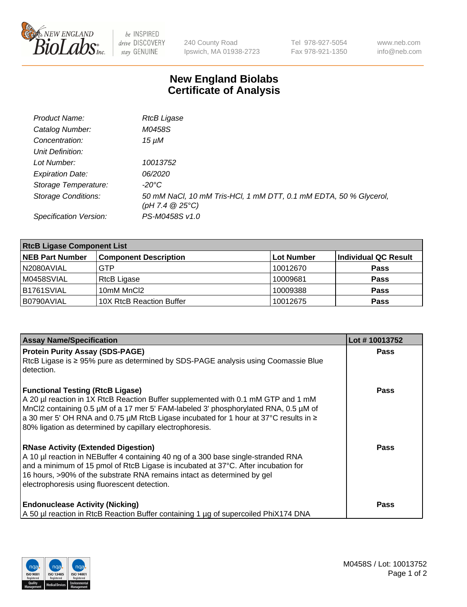

 $be$  INSPIRED drive DISCOVERY stay GENUINE

240 County Road Ipswich, MA 01938-2723 Tel 978-927-5054 Fax 978-921-1350 www.neb.com info@neb.com

## **New England Biolabs Certificate of Analysis**

| Product Name:              | <b>RtcB Ligase</b>                                                                     |
|----------------------------|----------------------------------------------------------------------------------------|
| Catalog Number:            | M0458S                                                                                 |
| Concentration:             | 15 µM                                                                                  |
| Unit Definition:           |                                                                                        |
| Lot Number:                | 10013752                                                                               |
| <b>Expiration Date:</b>    | <i>06/2020</i>                                                                         |
| Storage Temperature:       | -20°C                                                                                  |
| <b>Storage Conditions:</b> | 50 mM NaCl, 10 mM Tris-HCl, 1 mM DTT, 0.1 mM EDTA, 50 % Glycerol,<br>(pH 7.4 $@25°C$ ) |
| Specification Version:     | PS-M0458S v1.0                                                                         |

| <b>RtcB Ligase Component List</b> |                              |            |                      |  |
|-----------------------------------|------------------------------|------------|----------------------|--|
| <b>NEB Part Number</b>            | <b>Component Description</b> | Lot Number | Individual QC Result |  |
| N2080AVIAL                        | GTP                          | 10012670   | <b>Pass</b>          |  |
| M0458SVIAL                        | <b>RtcB Ligase</b>           | 10009681   | <b>Pass</b>          |  |
| B <sub>1761</sub> SVIAL           | 10mM MnCl2                   | 10009388   | <b>Pass</b>          |  |
| B0790AVIAL                        | 10X RtcB Reaction Buffer     | 10012675   | <b>Pass</b>          |  |

| <b>Assay Name/Specification</b>                                                                                                                                                                                                                                                                                                                                          | Lot #10013752 |
|--------------------------------------------------------------------------------------------------------------------------------------------------------------------------------------------------------------------------------------------------------------------------------------------------------------------------------------------------------------------------|---------------|
| <b>Protein Purity Assay (SDS-PAGE)</b><br>RtcB Ligase is ≥ 95% pure as determined by SDS-PAGE analysis using Coomassie Blue<br>detection.                                                                                                                                                                                                                                | <b>Pass</b>   |
| <b>Functional Testing (RtcB Ligase)</b><br>A 20 µl reaction in 1X RtcB Reaction Buffer supplemented with 0.1 mM GTP and 1 mM<br>MnCl2 containing 0.5 µM of a 17 mer 5' FAM-labeled 3' phosphorylated RNA, 0.5 µM of<br> a 30 mer 5' OH RNA and 0.75 µM RtcB Ligase incubated for 1 hour at 37°C results in ≥<br>80% ligation as determined by capillary electrophoresis. | Pass          |
| <b>RNase Activity (Extended Digestion)</b><br>A 10 µl reaction in NEBuffer 4 containing 40 ng of a 300 base single-stranded RNA<br>and a minimum of 15 pmol of RtcB Ligase is incubated at 37°C. After incubation for<br>16 hours, >90% of the substrate RNA remains intact as determined by gel<br>electrophoresis using fluorescent detection.                         | Pass          |
| <b>Endonuclease Activity (Nicking)</b><br>A 50 µl reaction in RtcB Reaction Buffer containing 1 µg of supercoiled PhiX174 DNA                                                                                                                                                                                                                                            | Pass          |